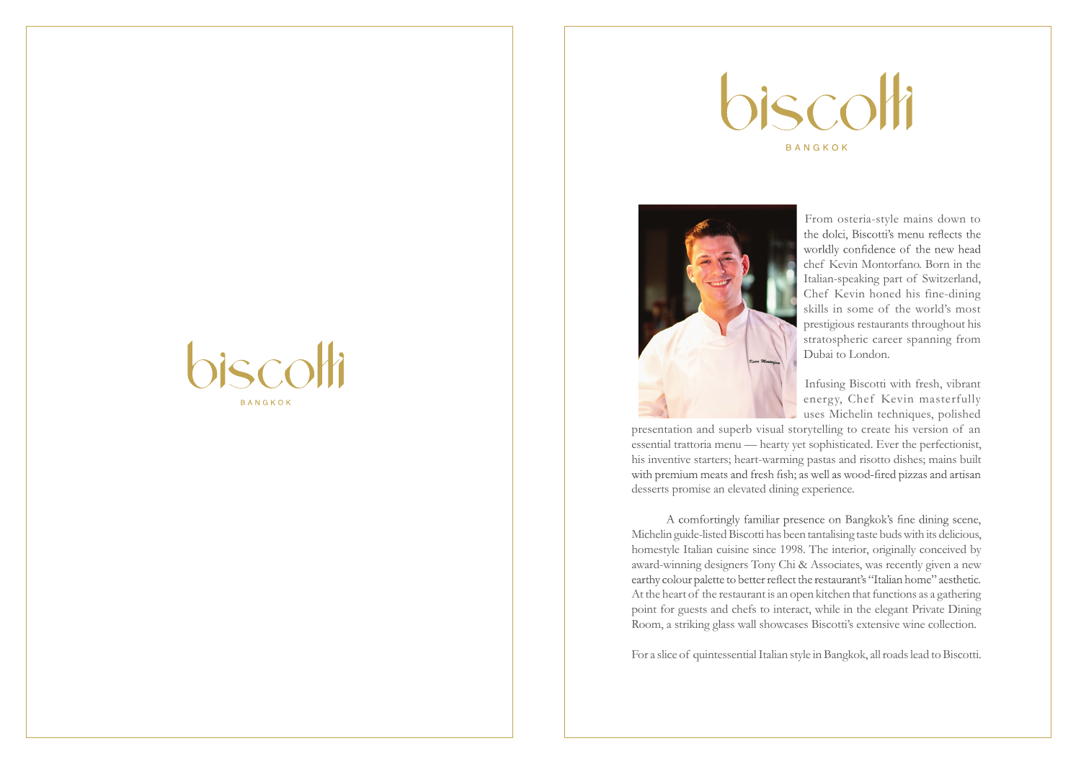



From osteria-style mains down to<br>the dolci, Biscotti's menu reflects the worldly confidence of the new head chef Kevin Montorfano. Born in the Italian-speaking part of Switzerland, Chef Kevin honed his fine-dining skills in some of the world's most prestigious restaurants throughout his stratospheric career spanning from Dubai to London.

Infusing Biscotti with fresh, vibrant energy, Chef Kevin masterfully uses Michelin techniques, polished

presentation and superb visual storytelling to create his version of an essential trattoria menu — hearty yet sophisticated. Ever the perfectionist, his inventive starters; heart-warming pastas and risotto dishes; mains built with premium meats and fresh fish; as well as wood-fired pizzas and artisan desserts promise an elevated dining experience.

A comfortingly familiar presence on Bangkok's fine dining scene, Michelin guide-listed Biscotti has been tantalising taste buds with its delicious, homestyle Italian cuisine since 1998. The interior, originally conceived by award-winning designers Tony Chi & Associates, was recently given a new earthy colour palette to better reflect the restaurant's "Italian home" aesthetic. At the heart of the restaurant is an open kitchen that functions as a gathering point for guests and chefs to interact, while in the elegant Private Dining Room, a striking glass wall showcases Biscotti's extensive wine collection.

For a slice of quintessential Italian style in Bangkok, all roads lead to Biscotti.

# $\vec{a}$ **BANGKOK**